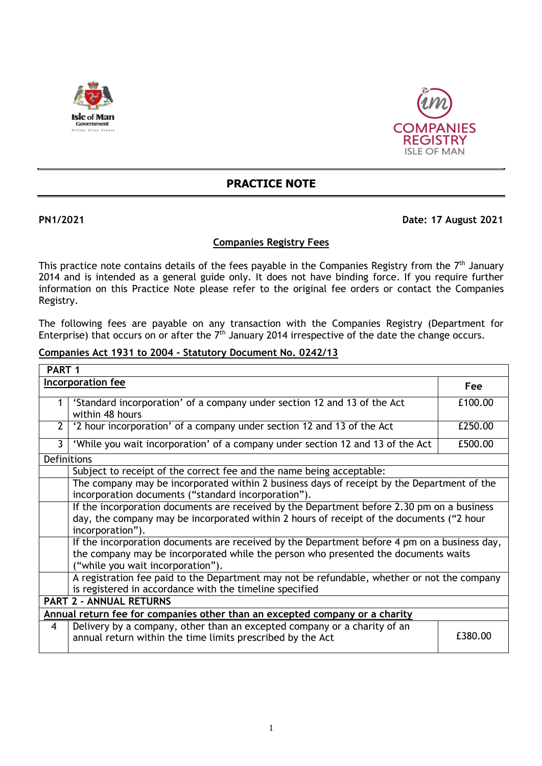



## **PRACTICE NOTE**

## **PN1/2021 Date: 17 August 2021**

## **Companies Registry Fees**

This practice note contains details of the fees payable in the Companies Registry from the  $7<sup>th</sup>$  January 2014 and is intended as a general guide only. It does not have binding force. If you require further information on this Practice Note please refer to the original fee orders or contact the Companies Registry.

The following fees are payable on any transaction with the Companies Registry (Department for Enterprise) that occurs on or after the  $7<sup>th</sup>$  January 2014 irrespective of the date the change occurs.

### **Companies Act 1931 to 2004 - Statutory Document No. 0242/13**

| PART <sub>1</sub>                                                           |                                                                                                                                                                                                                         |         |
|-----------------------------------------------------------------------------|-------------------------------------------------------------------------------------------------------------------------------------------------------------------------------------------------------------------------|---------|
|                                                                             | <b>Incorporation fee</b>                                                                                                                                                                                                | Fee     |
|                                                                             | 'Standard incorporation' of a company under section 12 and 13 of the Act<br>within 48 hours                                                                                                                             | £100.00 |
| 2                                                                           | '2 hour incorporation' of a company under section 12 and 13 of the Act                                                                                                                                                  | £250.00 |
| 3                                                                           | 'While you wait incorporation' of a company under section 12 and 13 of the Act                                                                                                                                          | £500.00 |
| Definitions                                                                 |                                                                                                                                                                                                                         |         |
|                                                                             | Subject to receipt of the correct fee and the name being acceptable:                                                                                                                                                    |         |
|                                                                             | The company may be incorporated within 2 business days of receipt by the Department of the<br>incorporation documents ("standard incorporation").                                                                       |         |
|                                                                             | If the incorporation documents are received by the Department before 2.30 pm on a business<br>day, the company may be incorporated within 2 hours of receipt of the documents ("2 hour<br>incorporation").              |         |
|                                                                             | If the incorporation documents are received by the Department before 4 pm on a business day,<br>the company may be incorporated while the person who presented the documents waits<br>("while you wait incorporation"). |         |
|                                                                             | A registration fee paid to the Department may not be refundable, whether or not the company<br>is registered in accordance with the timeline specified                                                                  |         |
|                                                                             | <b>PART 2 - ANNUAL RETURNS</b>                                                                                                                                                                                          |         |
| Annual return fee for companies other than an excepted company or a charity |                                                                                                                                                                                                                         |         |
| $\overline{4}$                                                              | Delivery by a company, other than an excepted company or a charity of an<br>annual return within the time limits prescribed by the Act                                                                                  | £380.00 |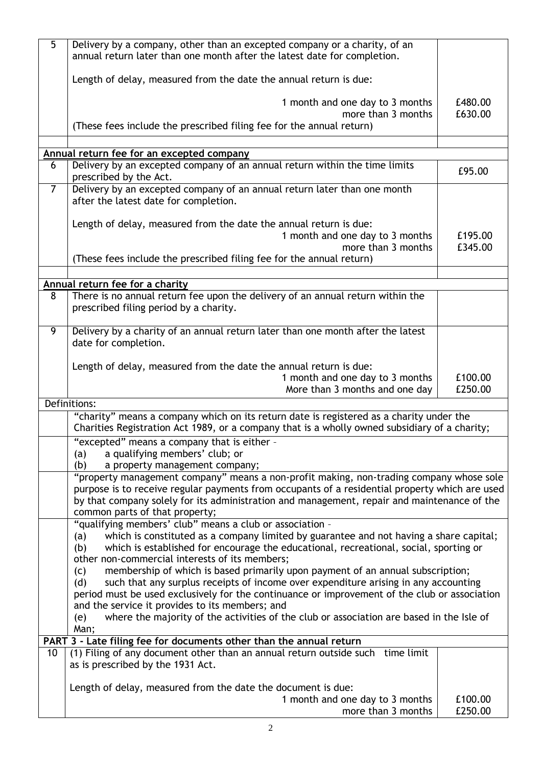| 5               | Delivery by a company, other than an excepted company or a charity, of an<br>annual return later than one month after the latest date for completion.                                                                                                                                                                                                                                                                                      |                    |
|-----------------|--------------------------------------------------------------------------------------------------------------------------------------------------------------------------------------------------------------------------------------------------------------------------------------------------------------------------------------------------------------------------------------------------------------------------------------------|--------------------|
|                 | Length of delay, measured from the date the annual return is due:                                                                                                                                                                                                                                                                                                                                                                          |                    |
|                 | 1 month and one day to 3 months<br>more than 3 months<br>(These fees include the prescribed filing fee for the annual return)                                                                                                                                                                                                                                                                                                              | £480.00<br>£630.00 |
|                 |                                                                                                                                                                                                                                                                                                                                                                                                                                            |                    |
|                 | Annual return fee for an excepted company                                                                                                                                                                                                                                                                                                                                                                                                  |                    |
| 6               | Delivery by an excepted company of an annual return within the time limits<br>prescribed by the Act.                                                                                                                                                                                                                                                                                                                                       | £95.00             |
| 7 <sup>1</sup>  | Delivery by an excepted company of an annual return later than one month<br>after the latest date for completion.                                                                                                                                                                                                                                                                                                                          |                    |
|                 | Length of delay, measured from the date the annual return is due:<br>1 month and one day to 3 months<br>more than 3 months                                                                                                                                                                                                                                                                                                                 | £195.00<br>£345.00 |
|                 | (These fees include the prescribed filing fee for the annual return)                                                                                                                                                                                                                                                                                                                                                                       |                    |
|                 | Annual return fee for a charity                                                                                                                                                                                                                                                                                                                                                                                                            |                    |
| 8               | There is no annual return fee upon the delivery of an annual return within the<br>prescribed filing period by a charity.                                                                                                                                                                                                                                                                                                                   |                    |
| $\overline{9}$  | Delivery by a charity of an annual return later than one month after the latest<br>date for completion.                                                                                                                                                                                                                                                                                                                                    |                    |
|                 | Length of delay, measured from the date the annual return is due:<br>1 month and one day to 3 months<br>More than 3 months and one day                                                                                                                                                                                                                                                                                                     | £100.00<br>£250.00 |
|                 | Definitions:                                                                                                                                                                                                                                                                                                                                                                                                                               |                    |
|                 | "charity" means a company which on its return date is registered as a charity under the<br>Charities Registration Act 1989, or a company that is a wholly owned subsidiary of a charity;                                                                                                                                                                                                                                                   |                    |
|                 | "excepted" means a company that is either -<br>a qualifying members' club; or<br>(a)<br>(b)<br>a property management company;                                                                                                                                                                                                                                                                                                              |                    |
|                 | "property management company" means a non-profit making, non-trading company whose sole<br>purpose is to receive regular payments from occupants of a residential property which are used<br>by that company solely for its administration and management, repair and maintenance of the<br>common parts of that property;                                                                                                                 |                    |
|                 | "qualifying members' club" means a club or association -<br>which is constituted as a company limited by guarantee and not having a share capital;<br>(a)<br>which is established for encourage the educational, recreational, social, sporting or<br>(b)<br>other non-commercial interests of its members;                                                                                                                                |                    |
|                 | membership of which is based primarily upon payment of an annual subscription;<br>(c)<br>such that any surplus receipts of income over expenditure arising in any accounting<br>(d)<br>period must be used exclusively for the continuance or improvement of the club or association<br>and the service it provides to its members; and<br>where the majority of the activities of the club or association are based in the Isle of<br>(e) |                    |
|                 | Man;                                                                                                                                                                                                                                                                                                                                                                                                                                       |                    |
|                 | PART 3 - Late filing fee for documents other than the annual return                                                                                                                                                                                                                                                                                                                                                                        |                    |
| 10 <sup>°</sup> | (1) Filing of any document other than an annual return outside such time limit<br>as is prescribed by the 1931 Act.                                                                                                                                                                                                                                                                                                                        |                    |
|                 | Length of delay, measured from the date the document is due:                                                                                                                                                                                                                                                                                                                                                                               |                    |
|                 | 1 month and one day to 3 months<br>more than 3 months                                                                                                                                                                                                                                                                                                                                                                                      | £100.00<br>£250.00 |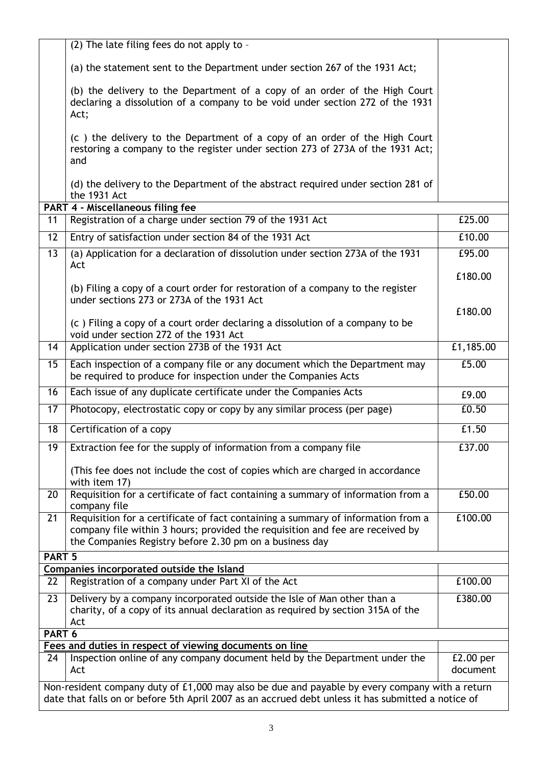|                   | (2) The late filing fees do not apply to -                                                                                                                                                                                   |                         |
|-------------------|------------------------------------------------------------------------------------------------------------------------------------------------------------------------------------------------------------------------------|-------------------------|
|                   |                                                                                                                                                                                                                              |                         |
|                   | (a) the statement sent to the Department under section 267 of the 1931 Act;                                                                                                                                                  |                         |
|                   | (b) the delivery to the Department of a copy of an order of the High Court<br>declaring a dissolution of a company to be void under section 272 of the 1931<br>Act;                                                          |                         |
|                   | (c) the delivery to the Department of a copy of an order of the High Court<br>restoring a company to the register under section 273 of 273A of the 1931 Act;<br>and                                                          |                         |
|                   | (d) the delivery to the Department of the abstract required under section 281 of<br>the 1931 Act                                                                                                                             |                         |
| 11                | <b>PART 4 - Miscellaneous filing fee</b><br>Registration of a charge under section 79 of the 1931 Act                                                                                                                        | £25.00                  |
|                   |                                                                                                                                                                                                                              |                         |
| 12                | Entry of satisfaction under section 84 of the 1931 Act                                                                                                                                                                       | £10.00                  |
| $\overline{13}$   | (a) Application for a declaration of dissolution under section 273A of the 1931                                                                                                                                              | £95.00                  |
|                   | Act                                                                                                                                                                                                                          | £180.00                 |
|                   | (b) Filing a copy of a court order for restoration of a company to the register                                                                                                                                              |                         |
|                   | under sections 273 or 273A of the 1931 Act                                                                                                                                                                                   |                         |
|                   | (c) Filing a copy of a court order declaring a dissolution of a company to be                                                                                                                                                | £180.00                 |
|                   | void under section 272 of the 1931 Act                                                                                                                                                                                       |                         |
| 14                | Application under section 273B of the 1931 Act                                                                                                                                                                               | £1,185.00               |
| 15                | Each inspection of a company file or any document which the Department may<br>be required to produce for inspection under the Companies Acts                                                                                 | £5.00                   |
| 16                | Each issue of any duplicate certificate under the Companies Acts                                                                                                                                                             | £9.00                   |
| 17                | Photocopy, electrostatic copy or copy by any similar process (per page)                                                                                                                                                      | £0.50                   |
| 18                | Certification of a copy                                                                                                                                                                                                      | £1.50                   |
| 19                | Extraction fee for the supply of information from a company file                                                                                                                                                             | £37.00                  |
|                   | (This fee does not include the cost of copies which are charged in accordance<br>with item 17)                                                                                                                               |                         |
| 20                | Requisition for a certificate of fact containing a summary of information from a<br>company file                                                                                                                             | £50.00                  |
| 21                | Requisition for a certificate of fact containing a summary of information from a<br>company file within 3 hours; provided the requisition and fee are received by<br>the Companies Registry before 2.30 pm on a business day | £100.00                 |
| PART <sub>5</sub> |                                                                                                                                                                                                                              |                         |
|                   | Companies incorporated outside the Island                                                                                                                                                                                    | £100.00                 |
| 22                | Registration of a company under Part XI of the Act                                                                                                                                                                           |                         |
| 23                | Delivery by a company incorporated outside the Isle of Man other than a<br>charity, of a copy of its annual declaration as required by section 315A of the<br>Act                                                            | £380.00                 |
| PART 6            |                                                                                                                                                                                                                              |                         |
|                   | Fees and duties in respect of viewing documents on line                                                                                                                                                                      |                         |
| 24                | Inspection online of any company document held by the Department under the<br>Act                                                                                                                                            | $E2.00$ per<br>document |
|                   | Non-resident company duty of £1,000 may also be due and payable by every company with a return<br>date that falls on or before 5th April 2007 as an accrued debt unless it has submitted a notice of                         |                         |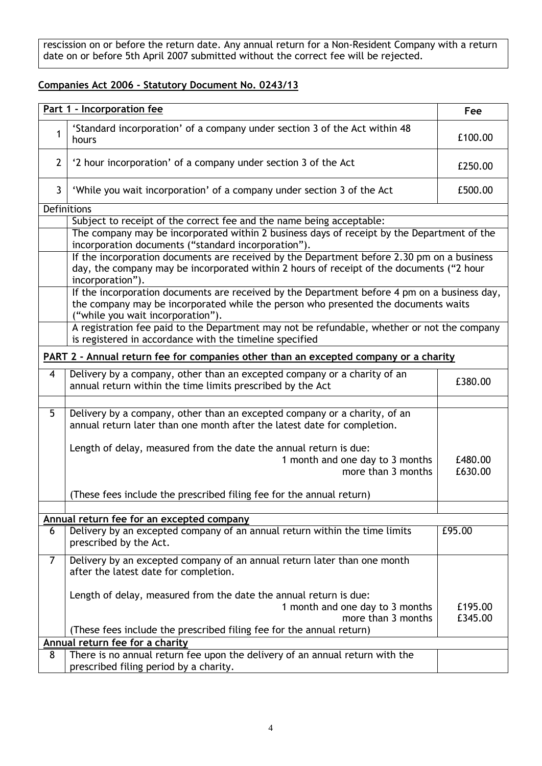rescission on or before the return date. Any annual return for a Non-Resident Company with a return date on or before 5th April 2007 submitted without the correct fee will be rejected.

## **Companies Act 2006 - Statutory Document No. 0243/13**

|                         | Part 1 - Incorporation fee                                                                                                                                                                                                 | Fee                |
|-------------------------|----------------------------------------------------------------------------------------------------------------------------------------------------------------------------------------------------------------------------|--------------------|
| 1                       | 'Standard incorporation' of a company under section 3 of the Act within 48<br>hours                                                                                                                                        | £100.00            |
| $\overline{2}$          | '2 hour incorporation' of a company under section 3 of the Act                                                                                                                                                             | £250.00            |
| $\mathbf{3}$            | 'While you wait incorporation' of a company under section 3 of the Act                                                                                                                                                     | £500.00            |
|                         | Definitions                                                                                                                                                                                                                |                    |
|                         | Subject to receipt of the correct fee and the name being acceptable:                                                                                                                                                       |                    |
|                         | The company may be incorporated within 2 business days of receipt by the Department of the<br>incorporation documents ("standard incorporation").                                                                          |                    |
|                         | If the incorporation documents are received by the Department before 2.30 pm on a business<br>day, the company may be incorporated within 2 hours of receipt of the documents ("2 hour<br>incorporation").                 |                    |
|                         | If the incorporation documents are received by the Department before 4 pm on a business day,<br>the company may be incorporated while the person who presented the documents waits<br>("while you wait incorporation").    |                    |
|                         | A registration fee paid to the Department may not be refundable, whether or not the company<br>is registered in accordance with the timeline specified                                                                     |                    |
|                         | PART 2 - Annual return fee for companies other than an excepted company or a charity                                                                                                                                       |                    |
| $\overline{\mathbf{4}}$ | Delivery by a company, other than an excepted company or a charity of an<br>annual return within the time limits prescribed by the Act                                                                                     | £380.00            |
| 5                       | Delivery by a company, other than an excepted company or a charity, of an<br>annual return later than one month after the latest date for completion.<br>Length of delay, measured from the date the annual return is due: |                    |
|                         | 1 month and one day to 3 months<br>more than 3 months                                                                                                                                                                      | £480.00<br>£630.00 |
|                         | (These fees include the prescribed filing fee for the annual return)                                                                                                                                                       |                    |
|                         |                                                                                                                                                                                                                            |                    |
| 6                       | Annual return fee for an excepted company<br>Delivery by an excepted company of an annual return within the time limits                                                                                                    | £95.00             |
|                         | prescribed by the Act.                                                                                                                                                                                                     |                    |
| $\overline{7}$          | Delivery by an excepted company of an annual return later than one month<br>after the latest date for completion.                                                                                                          |                    |
|                         | Length of delay, measured from the date the annual return is due:                                                                                                                                                          |                    |
|                         | 1 month and one day to 3 months                                                                                                                                                                                            | £195.00            |
|                         | more than 3 months                                                                                                                                                                                                         | £345.00            |
|                         | (These fees include the prescribed filing fee for the annual return)                                                                                                                                                       |                    |
|                         | Annual return fee for a charity                                                                                                                                                                                            |                    |
| 8                       | There is no annual return fee upon the delivery of an annual return with the                                                                                                                                               |                    |
|                         | prescribed filing period by a charity.                                                                                                                                                                                     |                    |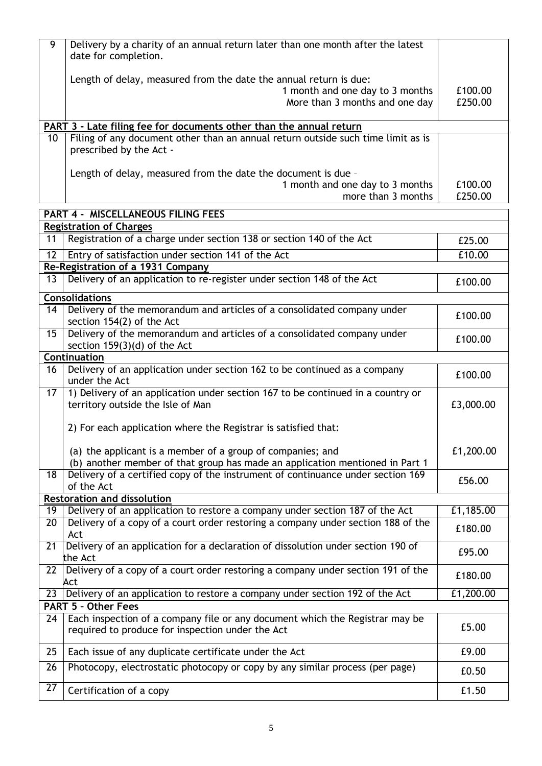|    | Delivery by a charity of an annual return later than one month after the latest<br>date for completion.                                |                    |
|----|----------------------------------------------------------------------------------------------------------------------------------------|--------------------|
|    | Length of delay, measured from the date the annual return is due:<br>1 month and one day to 3 months<br>More than 3 months and one day | £100.00<br>£250.00 |
|    | PART 3 - Late filing fee for documents other than the annual return                                                                    |                    |
| 10 | Filing of any document other than an annual return outside such time limit as is<br>prescribed by the Act -                            |                    |
|    |                                                                                                                                        |                    |
|    |                                                                                                                                        |                    |
|    | Length of delay, measured from the date the document is due -<br>1 month and one day to 3 months                                       | £100.00            |

|    | <b>PART 4 - MISCELLANEOUS FILING FEES</b>                                                                                                  |           |  |
|----|--------------------------------------------------------------------------------------------------------------------------------------------|-----------|--|
|    | <b>Registration of Charges</b>                                                                                                             |           |  |
| 11 | Registration of a charge under section 138 or section 140 of the Act                                                                       | £25.00    |  |
| 12 | Entry of satisfaction under section 141 of the Act                                                                                         | £10.00    |  |
|    | Re-Registration of a 1931 Company                                                                                                          |           |  |
| 13 | Delivery of an application to re-register under section 148 of the Act                                                                     | £100.00   |  |
|    | <b>Consolidations</b>                                                                                                                      |           |  |
| 14 | Delivery of the memorandum and articles of a consolidated company under<br>section 154(2) of the Act                                       | £100.00   |  |
| 15 | Delivery of the memorandum and articles of a consolidated company under<br>section 159(3)(d) of the Act                                    | £100.00   |  |
|    | Continuation                                                                                                                               |           |  |
| 16 | Delivery of an application under section 162 to be continued as a company<br>under the Act                                                 | £100.00   |  |
| 17 | 1) Delivery of an application under section 167 to be continued in a country or<br>territory outside the Isle of Man                       | £3,000.00 |  |
|    | 2) For each application where the Registrar is satisfied that:                                                                             |           |  |
|    | (a) the applicant is a member of a group of companies; and<br>(b) another member of that group has made an application mentioned in Part 1 | £1,200.00 |  |
| 18 | Delivery of a certified copy of the instrument of continuance under section 169<br>of the Act                                              | £56.00    |  |
|    | <b>Restoration and dissolution</b>                                                                                                         |           |  |
| 19 | Delivery of an application to restore a company under section 187 of the Act                                                               | £1,185.00 |  |
| 20 | Delivery of a copy of a court order restoring a company under section 188 of the<br>Act                                                    | £180.00   |  |
| 21 | Delivery of an application for a declaration of dissolution under section 190 of<br>the Act                                                | £95.00    |  |
|    | 22 Delivery of a copy of a court order restoring a company under section 191 of the                                                        | £180.00   |  |
| 23 | Act<br>Delivery of an application to restore a company under section 192 of the Act                                                        | £1,200.00 |  |
|    | <b>PART 5 - Other Fees</b>                                                                                                                 |           |  |
|    | 24   Each inspection of a company file or any document which the Registrar may be                                                          |           |  |
|    | required to produce for inspection under the Act                                                                                           | £5.00     |  |
| 25 | Each issue of any duplicate certificate under the Act                                                                                      | £9.00     |  |
| 26 | Photocopy, electrostatic photocopy or copy by any similar process (per page)                                                               | £0.50     |  |
| 27 | Certification of a copy                                                                                                                    | £1.50     |  |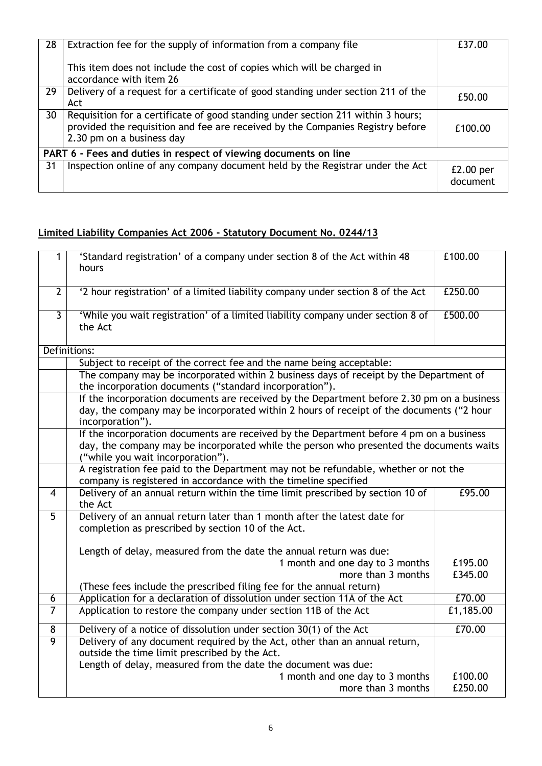| 28                                                               | Extraction fee for the supply of information from a company file                                                                                                                                | £37.00                  |
|------------------------------------------------------------------|-------------------------------------------------------------------------------------------------------------------------------------------------------------------------------------------------|-------------------------|
|                                                                  | This item does not include the cost of copies which will be charged in<br>accordance with item 26                                                                                               |                         |
| 29                                                               | Delivery of a request for a certificate of good standing under section 211 of the<br>Act                                                                                                        | £50.00                  |
| 30                                                               | Requisition for a certificate of good standing under section 211 within 3 hours;<br>provided the requisition and fee are received by the Companies Registry before<br>2.30 pm on a business day | £100.00                 |
| PART 6 - Fees and duties in respect of viewing documents on line |                                                                                                                                                                                                 |                         |
| 31                                                               | Inspection online of any company document held by the Registrar under the Act                                                                                                                   | $E2.00$ per<br>document |

# **Limited Liability Companies Act 2006 - Statutory Document No. 0244/13**

| 1              | 'Standard registration' of a company under section 8 of the Act within 48                  | £100.00   |
|----------------|--------------------------------------------------------------------------------------------|-----------|
|                | hours                                                                                      |           |
|                |                                                                                            |           |
| $\mathbf{2}$   | '2 hour registration' of a limited liability company under section 8 of the Act            | £250.00   |
|                |                                                                                            |           |
| $\overline{3}$ | 'While you wait registration' of a limited liability company under section 8 of            | £500.00   |
|                | the Act                                                                                    |           |
|                |                                                                                            |           |
|                | Definitions:                                                                               |           |
|                | Subject to receipt of the correct fee and the name being acceptable:                       |           |
|                | The company may be incorporated within 2 business days of receipt by the Department of     |           |
|                | the incorporation documents ("standard incorporation").                                    |           |
|                | If the incorporation documents are received by the Department before 2.30 pm on a business |           |
|                | day, the company may be incorporated within 2 hours of receipt of the documents ("2 hour   |           |
|                | incorporation").                                                                           |           |
|                | If the incorporation documents are received by the Department before 4 pm on a business    |           |
|                | day, the company may be incorporated while the person who presented the documents waits    |           |
|                | ("while you wait incorporation").                                                          |           |
|                | A registration fee paid to the Department may not be refundable, whether or not the        |           |
|                | company is registered in accordance with the timeline specified                            |           |
| $\overline{4}$ | Delivery of an annual return within the time limit prescribed by section 10 of             | £95.00    |
|                | the Act                                                                                    |           |
| $\overline{5}$ | Delivery of an annual return later than 1 month after the latest date for                  |           |
|                | completion as prescribed by section 10 of the Act.                                         |           |
|                |                                                                                            |           |
|                | Length of delay, measured from the date the annual return was due:                         |           |
|                | 1 month and one day to 3 months                                                            | £195.00   |
|                | more than 3 months                                                                         | £345.00   |
|                | (These fees include the prescribed filing fee for the annual return)                       |           |
| 6              | Application for a declaration of dissolution under section 11A of the Act                  | £70.00    |
| $\overline{7}$ | Application to restore the company under section 11B of the Act                            | E1,185.00 |
|                |                                                                                            |           |
| 8              | Delivery of a notice of dissolution under section 30(1) of the Act                         | £70.00    |
| $\overline{9}$ | Delivery of any document required by the Act, other than an annual return,                 |           |
|                | outside the time limit prescribed by the Act.                                              |           |
|                | Length of delay, measured from the date the document was due:                              |           |
|                | 1 month and one day to 3 months                                                            | £100.00   |
|                | more than 3 months                                                                         | £250.00   |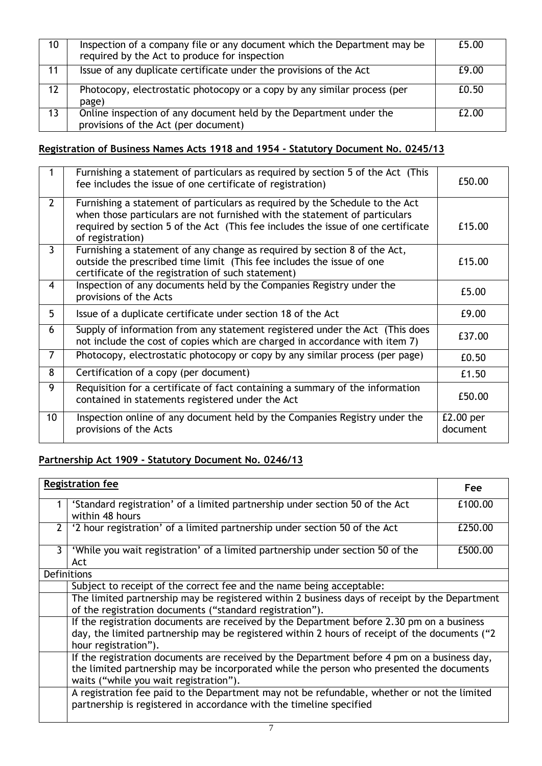| 10                | Inspection of a company file or any document which the Department may be<br>required by the Act to produce for inspection | £5.00 |
|-------------------|---------------------------------------------------------------------------------------------------------------------------|-------|
| 11                | Issue of any duplicate certificate under the provisions of the Act                                                        | £9.00 |
| $12 \overline{ }$ | Photocopy, electrostatic photocopy or a copy by any similar process (per<br>page)                                         | £0.50 |
| 13 <sup>2</sup>   | Online inspection of any document held by the Department under the<br>provisions of the Act (per document)                | £2.00 |

# **Registration of Business Names Acts 1918 and 1954 - Statutory Document No. 0245/13**

|                 | Furnishing a statement of particulars as required by section 5 of the Act (This<br>fee includes the issue of one certificate of registration)                                                                                                                      | £50.00                  |
|-----------------|--------------------------------------------------------------------------------------------------------------------------------------------------------------------------------------------------------------------------------------------------------------------|-------------------------|
| $\overline{2}$  | Furnishing a statement of particulars as required by the Schedule to the Act<br>when those particulars are not furnished with the statement of particulars<br>required by section 5 of the Act (This fee includes the issue of one certificate<br>of registration) | £15.00                  |
| $\overline{3}$  | Furnishing a statement of any change as required by section 8 of the Act,<br>outside the prescribed time limit (This fee includes the issue of one<br>certificate of the registration of such statement)                                                           | £15.00                  |
| 4               | Inspection of any documents held by the Companies Registry under the<br>provisions of the Acts                                                                                                                                                                     | £5.00                   |
| 5               | Issue of a duplicate certificate under section 18 of the Act                                                                                                                                                                                                       | £9.00                   |
| 6               | Supply of information from any statement registered under the Act (This does<br>not include the cost of copies which are charged in accordance with item 7)                                                                                                        | £37.00                  |
| 7               | Photocopy, electrostatic photocopy or copy by any similar process (per page)                                                                                                                                                                                       | £0.50                   |
| 8               | Certification of a copy (per document)                                                                                                                                                                                                                             | £1.50                   |
| 9               | Requisition for a certificate of fact containing a summary of the information<br>contained in statements registered under the Act                                                                                                                                  | £50.00                  |
| 10 <sup>°</sup> | Inspection online of any document held by the Companies Registry under the<br>provisions of the Acts                                                                                                                                                               | $E2.00$ per<br>document |

## **Partnership Act 1909 - Statutory Document No. 0246/13**

|   | <b>Registration fee</b>                                                                                                                                                                                                           | <b>Fee</b> |
|---|-----------------------------------------------------------------------------------------------------------------------------------------------------------------------------------------------------------------------------------|------------|
|   | 'Standard registration' of a limited partnership under section 50 of the Act<br>within 48 hours                                                                                                                                   | £100.00    |
| 2 | '2 hour registration' of a limited partnership under section 50 of the Act                                                                                                                                                        | £250.00    |
| 3 | 'While you wait registration' of a limited partnership under section 50 of the<br>Act                                                                                                                                             | £500.00    |
|   | Definitions                                                                                                                                                                                                                       |            |
|   | Subject to receipt of the correct fee and the name being acceptable:                                                                                                                                                              |            |
|   | The limited partnership may be registered within 2 business days of receipt by the Department<br>of the registration documents ("standard registration").                                                                         |            |
|   | If the registration documents are received by the Department before 2.30 pm on a business<br>day, the limited partnership may be registered within 2 hours of receipt of the documents ("2<br>hour registration").                |            |
|   | If the registration documents are received by the Department before 4 pm on a business day,<br>the limited partnership may be incorporated while the person who presented the documents<br>waits ("while you wait registration"). |            |
|   | A registration fee paid to the Department may not be refundable, whether or not the limited<br>partnership is registered in accordance with the timeline specified                                                                |            |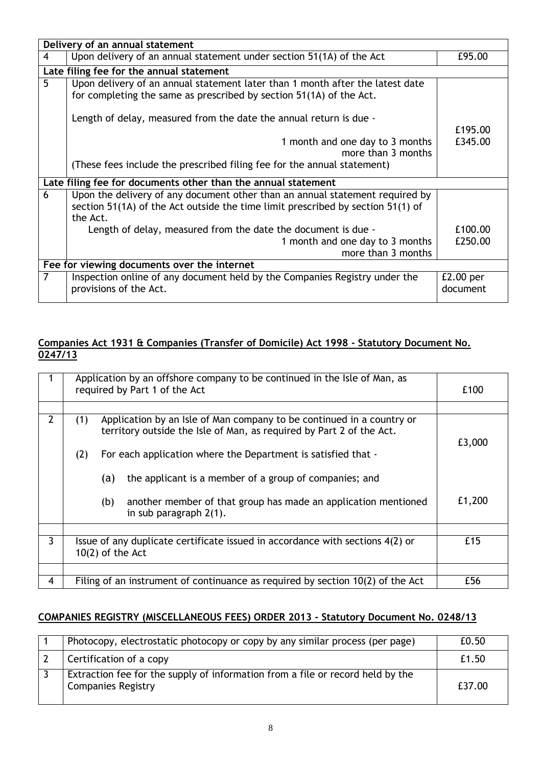| Delivery of an annual statement |                                                                                                                                                                             |                         |
|---------------------------------|-----------------------------------------------------------------------------------------------------------------------------------------------------------------------------|-------------------------|
| 4                               | Upon delivery of an annual statement under section 51(1A) of the Act                                                                                                        | £95.00                  |
|                                 | Late filing fee for the annual statement                                                                                                                                    |                         |
| 5                               | Upon delivery of an annual statement later than 1 month after the latest date<br>for completing the same as prescribed by section 51(1A) of the Act.                        |                         |
|                                 | Length of delay, measured from the date the annual return is due -                                                                                                          | £195.00                 |
|                                 | 1 month and one day to 3 months<br>more than 3 months                                                                                                                       | £345.00                 |
|                                 | (These fees include the prescribed filing fee for the annual statement)                                                                                                     |                         |
|                                 | Late filing fee for documents other than the annual statement                                                                                                               |                         |
| 6                               | Upon the delivery of any document other than an annual statement required by<br>section 51(1A) of the Act outside the time limit prescribed by section 51(1) of<br>the Act. |                         |
|                                 | Length of delay, measured from the date the document is due -                                                                                                               | £100.00                 |
|                                 | 1 month and one day to 3 months<br>more than 3 months                                                                                                                       | £250.00                 |
|                                 |                                                                                                                                                                             |                         |
|                                 | Fee for viewing documents over the internet                                                                                                                                 |                         |
| 7                               | Inspection online of any document held by the Companies Registry under the<br>provisions of the Act.                                                                        | $E2.00$ per<br>document |

## **Companies Act 1931 & Companies (Transfer of Domicile) Act 1998 - Statutory Document No. 0247/13**

|                       | Application by an offshore company to be continued in the Isle of Man, as<br>required by Part 1 of the Act                                           |        |
|-----------------------|------------------------------------------------------------------------------------------------------------------------------------------------------|--------|
|                       |                                                                                                                                                      |        |
| $\mathbf{2}^{\prime}$ | Application by an Isle of Man company to be continued in a country or<br>(1)<br>territory outside the Isle of Man, as required by Part 2 of the Act. | £3,000 |
|                       | For each application where the Department is satisfied that -<br>(2)                                                                                 |        |
|                       | the applicant is a member of a group of companies; and<br>(a)                                                                                        |        |
|                       | another member of that group has made an application mentioned<br>(b)<br>in sub paragraph 2(1).                                                      | £1,200 |
|                       |                                                                                                                                                      |        |
| 3                     | Issue of any duplicate certificate issued in accordance with sections 4(2) or<br>$10(2)$ of the Act                                                  | £15    |
|                       |                                                                                                                                                      |        |
| 4                     | Filing of an instrument of continuance as required by section 10(2) of the Act                                                                       | £56    |

## **COMPANIES REGISTRY (MISCELLANEOUS FEES) ORDER 2013 - Statutory Document No. 0248/13**

| Photocopy, electrostatic photocopy or copy by any similar process (per page)                                | £0.50  |
|-------------------------------------------------------------------------------------------------------------|--------|
| Certification of a copy                                                                                     | £1.50  |
| Extraction fee for the supply of information from a file or record held by the<br><b>Companies Registry</b> | £37.00 |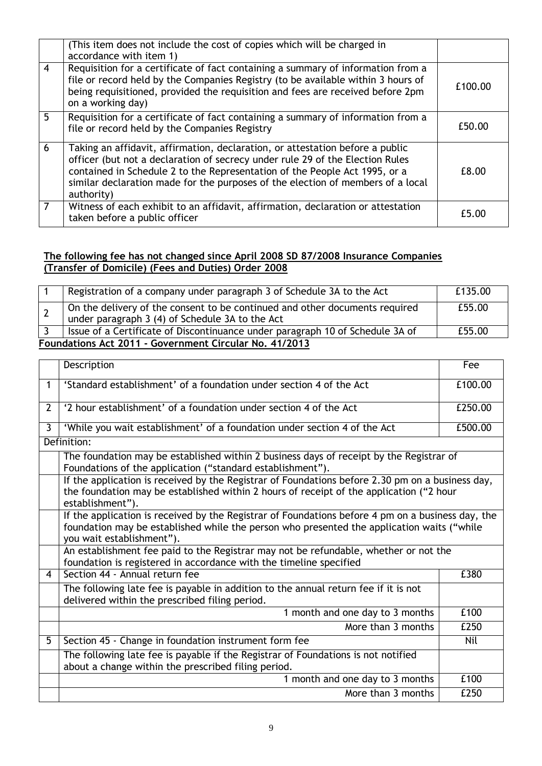|                | (This item does not include the cost of copies which will be charged in<br>accordance with item 1)                                                                                                                                                                                                                                            |         |
|----------------|-----------------------------------------------------------------------------------------------------------------------------------------------------------------------------------------------------------------------------------------------------------------------------------------------------------------------------------------------|---------|
| $\overline{4}$ | Requisition for a certificate of fact containing a summary of information from a<br>file or record held by the Companies Registry (to be available within 3 hours of<br>being requisitioned, provided the requisition and fees are received before 2pm<br>on a working day)                                                                   | £100.00 |
| 5.             | Requisition for a certificate of fact containing a summary of information from a<br>file or record held by the Companies Registry                                                                                                                                                                                                             | £50.00  |
| 6              | Taking an affidavit, affirmation, declaration, or attestation before a public<br>officer (but not a declaration of secrecy under rule 29 of the Election Rules<br>contained in Schedule 2 to the Representation of the People Act 1995, or a<br>similar declaration made for the purposes of the election of members of a local<br>authority) | £8.00   |
|                | Witness of each exhibit to an affidavit, affirmation, declaration or attestation<br>taken before a public officer                                                                                                                                                                                                                             | £5.00   |

## **The following fee has not changed since April 2008 SD 87/2008 Insurance Companies (Transfer of Domicile) (Fees and Duties) Order 2008**

|                                                        | Registration of a company under paragraph 3 of Schedule 3A to the Act                                                          | £135.00 |
|--------------------------------------------------------|--------------------------------------------------------------------------------------------------------------------------------|---------|
|                                                        | On the delivery of the consent to be continued and other documents required<br>under paragraph 3 (4) of Schedule 3A to the Act | £55.00  |
|                                                        | Issue of a Certificate of Discontinuance under paragraph 10 of Schedule 3A of                                                  | £55.00  |
| Foundations Act 2011 - Government Circular No. 41/2013 |                                                                                                                                |         |

|                | Description                                                                                                                                                                                                                  | Fee     |
|----------------|------------------------------------------------------------------------------------------------------------------------------------------------------------------------------------------------------------------------------|---------|
| $\mathbf{1}$   | 'Standard establishment' of a foundation under section 4 of the Act                                                                                                                                                          | £100.00 |
| $\overline{2}$ | '2 hour establishment' of a foundation under section 4 of the Act                                                                                                                                                            | £250.00 |
| 3              | 'While you wait establishment' of a foundation under section 4 of the Act                                                                                                                                                    | £500.00 |
|                | Definition:                                                                                                                                                                                                                  |         |
|                | The foundation may be established within 2 business days of receipt by the Registrar of<br>Foundations of the application ("standard establishment").                                                                        |         |
|                | If the application is received by the Registrar of Foundations before 2.30 pm on a business day,<br>the foundation may be established within 2 hours of receipt of the application ("2 hour<br>establishment").              |         |
|                | If the application is received by the Registrar of Foundations before 4 pm on a business day, the<br>foundation may be established while the person who presented the application waits ("while<br>you wait establishment"). |         |
|                | An establishment fee paid to the Registrar may not be refundable, whether or not the<br>foundation is registered in accordance with the timeline specified                                                                   |         |
| 4              | Section 44 - Annual return fee                                                                                                                                                                                               | £380    |
|                | The following late fee is payable in addition to the annual return fee if it is not<br>delivered within the prescribed filing period.                                                                                        |         |
|                | 1 month and one day to 3 months                                                                                                                                                                                              | £100    |
|                | More than 3 months                                                                                                                                                                                                           | £250    |
| 5              | Section 45 - Change in foundation instrument form fee                                                                                                                                                                        | Nil     |
|                | The following late fee is payable if the Registrar of Foundations is not notified<br>about a change within the prescribed filing period.                                                                                     |         |
|                | 1 month and one day to 3 months                                                                                                                                                                                              | £100    |
|                | More than 3 months                                                                                                                                                                                                           | £250    |